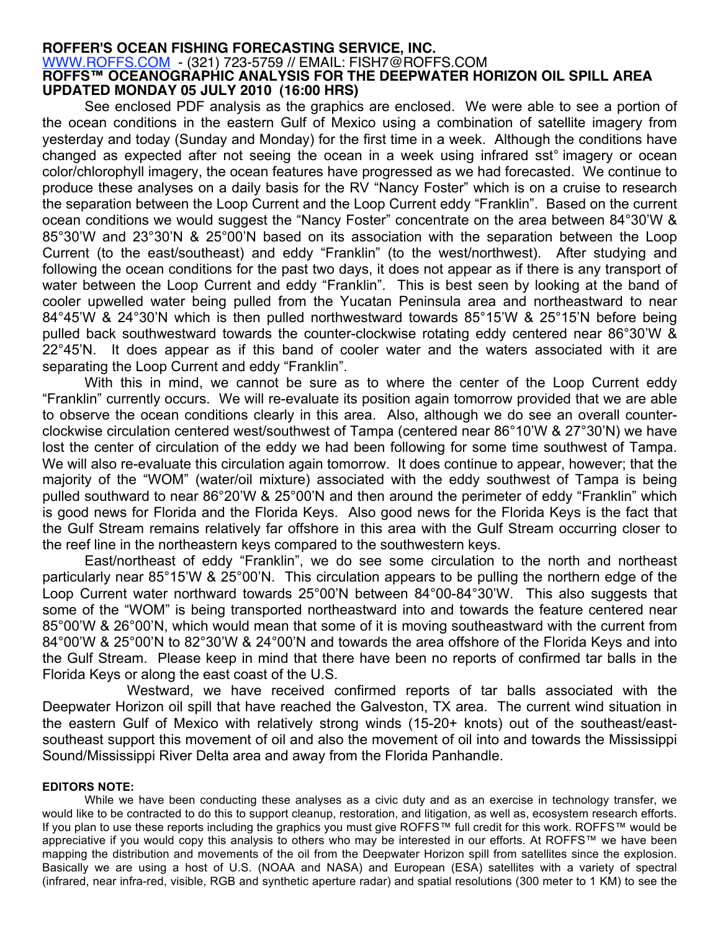## **ROFFER'S OCEAN FISHING FORECASTING SERVICE, INC.** WWW.ROFFS.COM - (321) 723-5759 // EMAIL: FISH7@ROFFS.COM **ROFFS™ OCEANOGRAPHIC ANALYSIS FOR THE DEEPWATER HORIZON OIL SPILL AREA UPDATED MONDAY 05 JULY 2010 (16:00 HRS)**

See enclosed PDF analysis as the graphics are enclosed. We were able to see a portion of the ocean conditions in the eastern Gulf of Mexico using a combination of satellite imagery from yesterday and today (Sunday and Monday) for the first time in a week. Although the conditions have changed as expected after not seeing the ocean in a week using infrared sst° imagery or ocean color/chlorophyll imagery, the ocean features have progressed as we had forecasted. We continue to produce these analyses on a daily basis for the RV "Nancy Foster" which is on a cruise to research the separation between the Loop Current and the Loop Current eddy "Franklin". Based on the current ocean conditions we would suggest the "Nancy Foster" concentrate on the area between 84°30'W & 85°30'W and 23°30'N & 25°00'N based on its association with the separation between the Loop Current (to the east/southeast) and eddy "Franklin" (to the west/northwest). After studying and following the ocean conditions for the past two days, it does not appear as if there is any transport of water between the Loop Current and eddy "Franklin". This is best seen by looking at the band of cooler upwelled water being pulled from the Yucatan Peninsula area and northeastward to near 84°45'W & 24°30'N which is then pulled northwestward towards 85°15'W & 25°15'N before being pulled back southwestward towards the counter-clockwise rotating eddy centered near 86°30'W & 22°45'N. It does appear as if this band of cooler water and the waters associated with it are separating the Loop Current and eddy "Franklin".

With this in mind, we cannot be sure as to where the center of the Loop Current eddy "Franklin" currently occurs. We will re-evaluate its position again tomorrow provided that we are able to observe the ocean conditions clearly in this area. Also, although we do see an overall counterclockwise circulation centered west/southwest of Tampa (centered near 86°10'W & 27°30'N) we have lost the center of circulation of the eddy we had been following for some time southwest of Tampa. We will also re-evaluate this circulation again tomorrow. It does continue to appear, however; that the majority of the "WOM" (water/oil mixture) associated with the eddy southwest of Tampa is being pulled southward to near 86°20'W & 25°00'N and then around the perimeter of eddy "Franklin" which is good news for Florida and the Florida Keys. Also good news for the Florida Keys is the fact that the Gulf Stream remains relatively far offshore in this area with the Gulf Stream occurring closer to the reef line in the northeastern keys compared to the southwestern keys.

East/northeast of eddy "Franklin", we do see some circulation to the north and northeast particularly near 85°15'W & 25°00'N. This circulation appears to be pulling the northern edge of the Loop Current water northward towards 25°00'N between 84°00-84°30'W. This also suggests that some of the "WOM" is being transported northeastward into and towards the feature centered near 85°00'W & 26°00'N, which would mean that some of it is moving southeastward with the current from 84°00'W & 25°00'N to 82°30'W & 24°00'N and towards the area offshore of the Florida Keys and into the Gulf Stream. Please keep in mind that there have been no reports of confirmed tar balls in the Florida Keys or along the east coast of the U.S.

Westward, we have received confirmed reports of tar balls associated with the Deepwater Horizon oil spill that have reached the Galveston, TX area. The current wind situation in the eastern Gulf of Mexico with relatively strong winds (15-20+ knots) out of the southeast/eastsoutheast support this movement of oil and also the movement of oil into and towards the Mississippi Sound/Mississippi River Delta area and away from the Florida Panhandle.

## **EDITORS NOTE:**

While we have been conducting these analyses as a civic duty and as an exercise in technology transfer, we would like to be contracted to do this to support cleanup, restoration, and litigation, as well as, ecosystem research efforts. If you plan to use these reports including the graphics you must give ROFFS™ full credit for this work. ROFFS™ would be appreciative if you would copy this analysis to others who may be interested in our efforts. At ROFFS™ we have been mapping the distribution and movements of the oil from the Deepwater Horizon spill from satellites since the explosion. Basically we are using a host of U.S. (NOAA and NASA) and European (ESA) satellites with a variety of spectral (infrared, near infra-red, visible, RGB and synthetic aperture radar) and spatial resolutions (300 meter to 1 KM) to see the